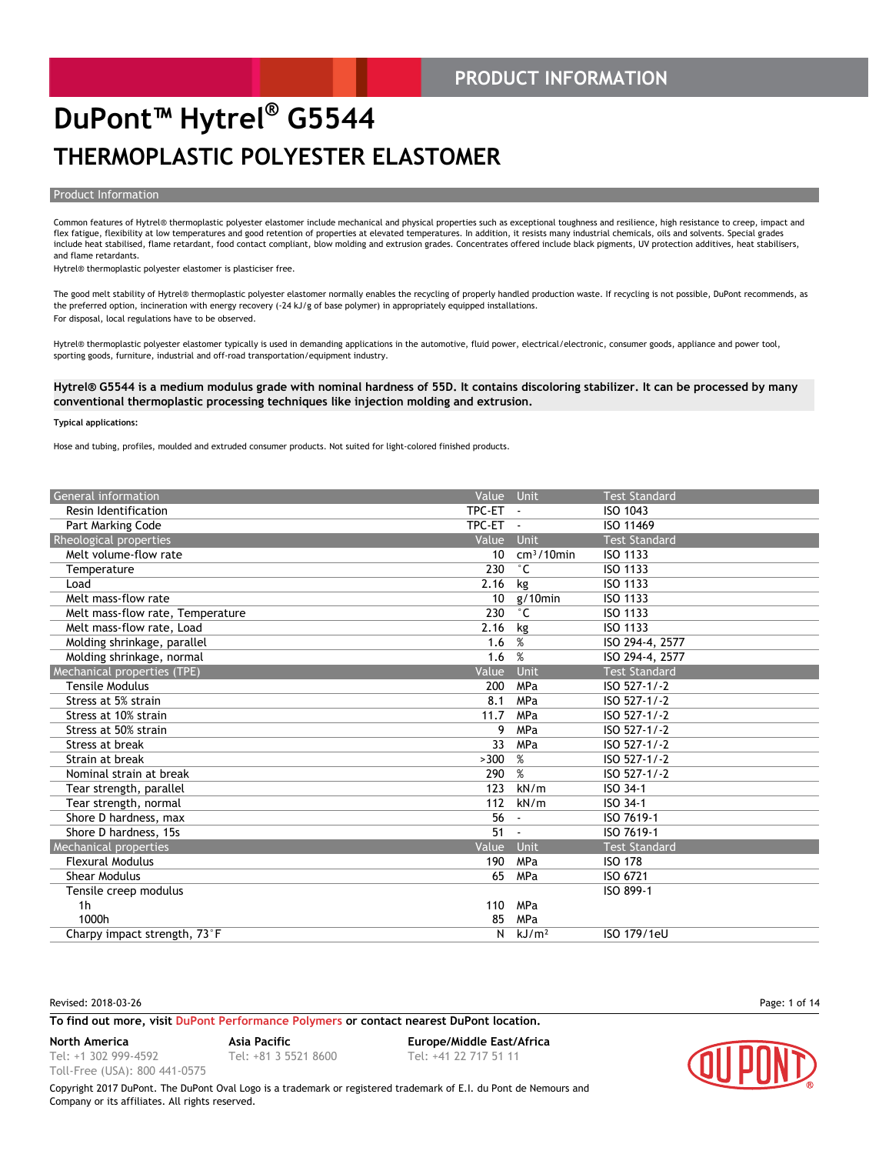#### **PRODUCT INFORMATION**

### **DuPont™ Hytrel® G5544 THERMOPLASTIC POLYESTER ELASTOMER**

#### Product Information

Common features of Hytrel® thermoplastic polyester elastomer include mechanical and physical properties such as exceptional toughness and resilience, high resistance to creep, impact and flex fatigue, flexibility at low temperatures and good retention of properties at elevated temperatures. In addition, it resists many industrial chemicals, oils and solvents. Special grades include heat stabilised, flame retardant, food contact compliant, blow molding and extrusion grades. Concentrates offered include black pigments, UV protection additives, heat stabilisers, and flame retardants.

Hytrel® thermoplastic polyester elastomer is plasticiser free.

The good melt stability of Hytrel® thermoplastic polyester elastomer normally enables the recycling of properly handled production waste. If recycling is not possible, DuPont recommends, as the preferred option, incineration with energy recovery (-24 kJ/g of base polymer) in appropriately equipped installations. For disposal, local regulations have to be observed.

Hytrel® thermoplastic polyester elastomer typically is used in demanding applications in the automotive, fluid power, electrical/electronic, consumer goods, appliance and power tool, sporting goods, furniture, industrial and off-road transportation/equipment industry.

#### **Hytrel® G5544 is a medium modulus grade with nominal hardness of 55D. It contains discoloring stabilizer. It can be processed by many conventional thermoplastic processing techniques like injection molding and extrusion.**

#### **Typical applications:**

Hose and tubing, profiles, moulded and extruded consumer products. Not suited for light-colored finished products.

|                                  |        | <b>Unit</b>       | <b>Test Standard</b> |
|----------------------------------|--------|-------------------|----------------------|
| Resin Identification             | TPC-ET | $\sim$            | ISO 1043             |
| Part Marking Code                | TPC-ET | $\sim$            | ISO 11469            |
| Rheological properties           | Value  | <b>Unit</b>       | <b>Test Standard</b> |
| Melt volume-flow rate            | 10     | $cm3/10$ min      | ISO 1133             |
| Temperature                      | 230    | $^{\circ}$ C      | <b>ISO 1133</b>      |
| Load                             | 2.16   | kg                | <b>ISO 1133</b>      |
| Melt mass-flow rate              | 10     | $g/10$ min        | <b>ISO 1133</b>      |
| Melt mass-flow rate, Temperature | 230    | $^{\circ}$ C      | <b>ISO 1133</b>      |
| Melt mass-flow rate, Load        | 2.16   | kg                | <b>ISO 1133</b>      |
| Molding shrinkage, parallel      | 1.6    | %                 | ISO 294-4, 2577      |
| Molding shrinkage, normal        | 1.6    | %                 | ISO 294-4, 2577      |
| Mechanical properties (TPE)      | Value  | Unit              | <b>Test Standard</b> |
| <b>Tensile Modulus</b>           | 200    | MPa               | ISO 527-1/-2         |
| Stress at 5% strain              | 8.1    | MPa               | ISO 527-1/-2         |
| Stress at 10% strain             | 11.7   | MPa               | ISO 527-1/-2         |
| Stress at 50% strain             | 9      | MPa               | ISO 527-1/-2         |
| Stress at break                  | 33     | MPa               | ISO 527-1/-2         |
| Strain at break                  | >300   | %                 | ISO 527-1/-2         |
| Nominal strain at break          | 290    | %                 | ISO 527-1/-2         |
| Tear strength, parallel          | 123    | kN/m              | ISO 34-1             |
| Tear strength, normal            | 112    | kN/m              | ISO 34-1             |
| Shore D hardness, max            | 56     |                   | ISO 7619-1           |
| Shore D hardness, 15s            | 51     |                   | ISO 7619-1           |
| Mechanical properties            | Value  | Unit              | <b>Test Standard</b> |
| <b>Flexural Modulus</b>          | 190    | MPa               | <b>ISO 178</b>       |
| <b>Shear Modulus</b>             | 65     | MPa               | ISO 6721             |
| Tensile creep modulus            |        |                   | ISO 899-1            |
| 1 <sub>h</sub>                   | 110    | MPa               |                      |
| 1000h                            | 85     | MPa               |                      |
| Charpy impact strength, 73°F     | N      | kJ/m <sup>2</sup> | ISO 179/1eU          |

Revised: 2018-03-26 Page: 1 of 14

#### **To find out more, visit [DuPont Performance Polymers](http://www.dupont.com/products-and-services/plastics-polymers-resins/thermoplastics.html) or contact nearest DuPont location.**

**North America Asia Pacific Europe/Middle East/Africa**

Tel: +1 302 999-4592 Toll-Free (USA): 800 441-0575

Tel: +81 3 5521 8600 Tel: +41 22 717 51 11

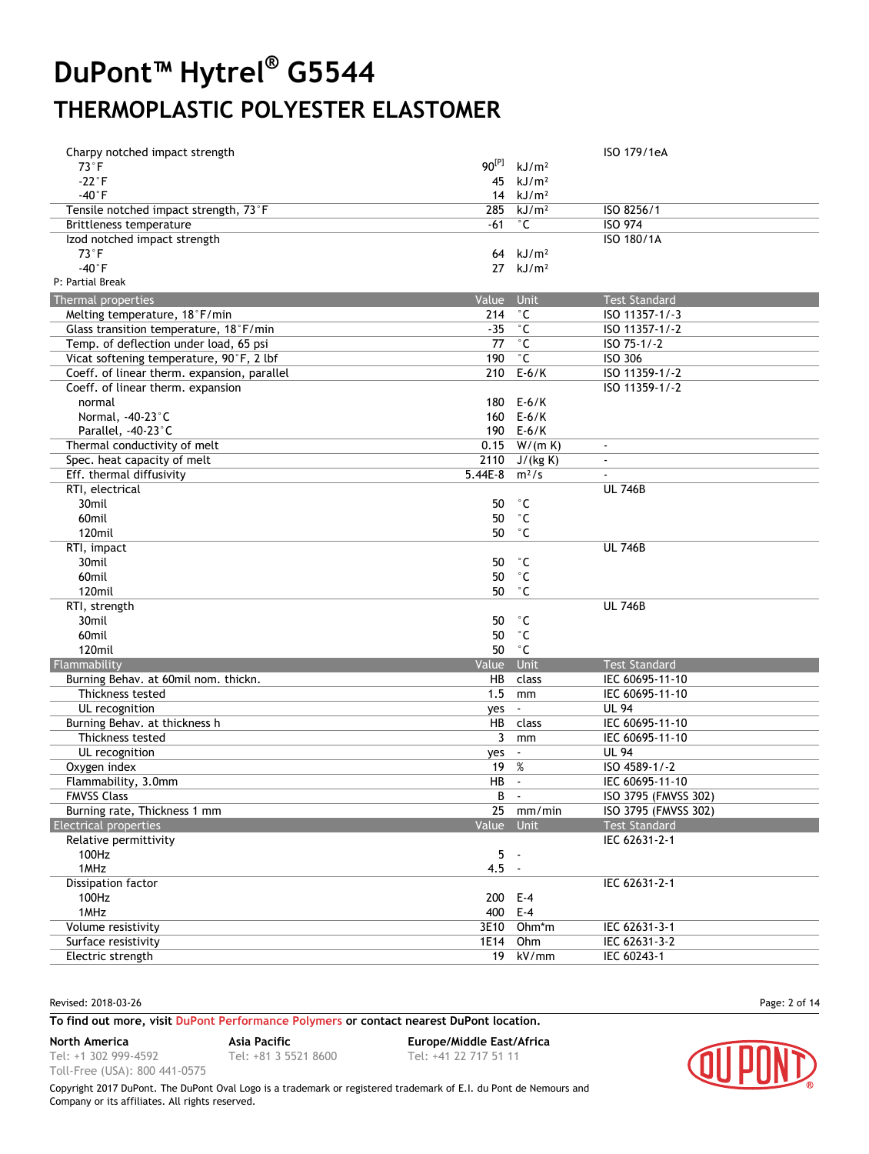| Charpy notched impact strength              |            |                        | ISO 179/1eA          |
|---------------------------------------------|------------|------------------------|----------------------|
| $73^{\circ}$ F                              | $90^{[P]}$ | kJ/m <sup>2</sup>      |                      |
| $-22^{\circ}F$                              | 45         | kJ/m <sup>2</sup>      |                      |
| $-40^{\circ}$ F                             |            | 14 $kJ/m2$             |                      |
| Tensile notched impact strength, 73°F       | 285        | kJ/m <sup>2</sup>      | ISO 8256/1           |
| Brittleness temperature                     | -61        | $^\circ$ C             | <b>ISO 974</b>       |
| Izod notched impact strength                |            |                        | ISO 180/1A           |
| $73^{\circ}$ F                              | 64         | kJ/m <sup>2</sup>      |                      |
| $-40°$ F                                    |            | $27$ kJ/m <sup>2</sup> |                      |
| P: Partial Break                            |            |                        |                      |
| Thermal properties                          | Value      | Unit                   | <b>Test Standard</b> |
| Melting temperature, 18°F/min               | 214        | $^{\circ}$ C           | ISO 11357-1/-3       |
|                                             | $-35$      | $^{\circ}$ C           | ISO 11357-1/-2       |
| Glass transition temperature, 18°F/min      | 77         | $^{\circ}$ C           | ISO 75-1/-2          |
| Temp. of deflection under load, 65 psi      | 190        | $^{\circ}$ C           | ISO 306              |
| Vicat softening temperature, 90°F, 2 lbf    |            |                        |                      |
| Coeff. of linear therm. expansion, parallel |            | 210 E-6/K              | ISO 11359-1/-2       |
| Coeff. of linear therm. expansion           |            |                        | ISO 11359-1/-2       |
| normal                                      | 180        | $E-6/K$                |                      |
| Normal, -40-23°C                            |            | 160 E-6/K              |                      |
| Parallel, -40-23°C                          |            | 190 E-6/K              |                      |
| Thermal conductivity of melt                |            | $0.15$ W/(m K)         | $\omega$             |
| Spec. heat capacity of melt                 |            | 2110 J/(kg K)          | $\blacksquare$       |
| Eff. thermal diffusivity                    | $5.44E-8$  | $m^2/s$                | $\sim$               |
| RTI, electrical                             |            |                        | <b>UL 746B</b>       |
| 30mil                                       | 50         | °С                     |                      |
| 60mil                                       | 50         | $^{\circ}$ C           |                      |
| 120mil                                      | 50         | ۰c                     |                      |
| RTI, impact                                 |            |                        | <b>UL 746B</b>       |
| 30mil                                       | 50         | ۰c                     |                      |
| 60mil                                       | 50         | $^{\circ}$ C           |                      |
| 120mil                                      | 50         | $^{\circ}$ C           |                      |
| RTI, strength                               |            |                        | <b>UL 746B</b>       |
| 30mil                                       | 50         | ۰c                     |                      |
| 60mil                                       | 50         | $^{\circ}$ C           |                      |
| 120mil                                      | 50         | ۰c                     |                      |
| Flammability                                | Value      | Unit                   | <b>Test Standard</b> |
| Burning Behav. at 60mil nom. thickn.        | HB         | class                  | IEC 60695-11-10      |
| Thickness tested                            | 1.5        | mm                     | IEC 60695-11-10      |
| UL recognition                              | yes        | $\blacksquare$         | <b>UL 94</b>         |
| Burning Behav. at thickness h               | HB         | class                  | IEC 60695-11-10      |
| Thickness tested                            | 3          | mm                     | IEC 60695-11-10      |
| UL recognition                              | yes        | $\blacksquare$         | <b>UL 94</b>         |
|                                             | 19         | %                      | ISO 4589-1/-2        |
| Oxygen index<br>Flammability, 3.0mm         | HB         | $\sim$                 |                      |
| <b>FMVSS Class</b>                          | B          |                        | IEC 60695-11-10      |
|                                             |            |                        | ISO 3795 (FMVSS 302) |
| Burning rate, Thickness 1 mm                |            | 25 mm/min              | ISO 3795 (FMVSS 302) |
| <b>Electrical properties</b>                | Value Unit |                        | <b>Test Standard</b> |
| Relative permittivity                       |            |                        | IEC 62631-2-1        |
| 100Hz                                       | $5 -$      |                        |                      |
| 1MHz                                        | $4.5 -$    |                        |                      |
| Dissipation factor                          |            |                        | IEC 62631-2-1        |
| 100Hz                                       | 200 E-4    |                        |                      |
| 1MHz                                        | 400 E-4    |                        |                      |
| Volume resistivity                          |            | 3E10 Ohm*m             | IEC 62631-3-1        |
| Surface resistivity                         | 1E14       | Ohm                    | IEC 62631-3-2        |
| Electric strength                           |            | 19 kV/mm               | IEC 60243-1          |

Revised: 2018-03-26 Page: 2 of 14

Tel: +1 302 999-4592

#### **To find out more, visit [DuPont Performance Polymers](http://www.dupont.com/products-and-services/plastics-polymers-resins/thermoplastics.html) or contact nearest DuPont location.**

**North America Asia Pacific Europe/Middle East/Africa**

Toll-Free (USA): 800 441-0575 Tel: +81 3 5521 8600 Tel: +41 22 717 51 11

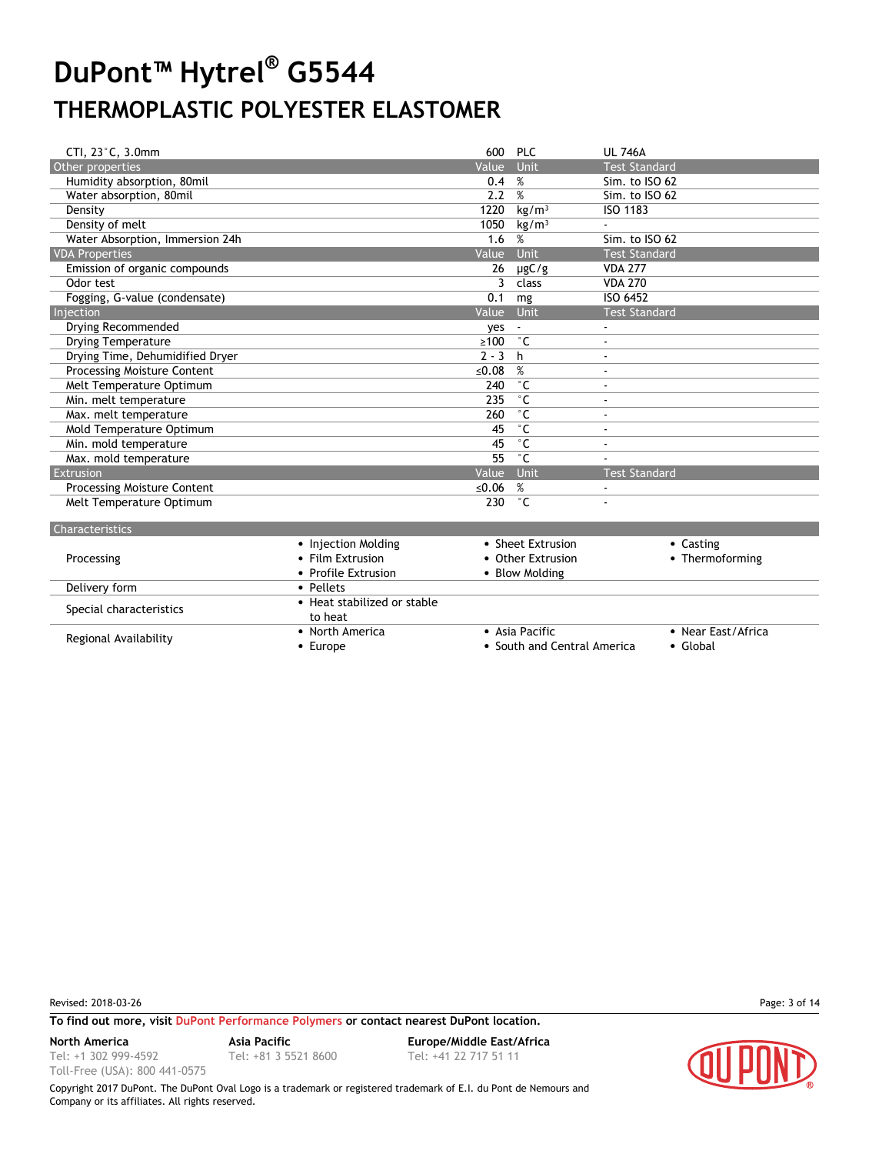| CTI, 23°C, 3.0mm                   | 600 PLC    |                   | <b>UL 746A</b>           |
|------------------------------------|------------|-------------------|--------------------------|
| Other properties                   | Value      | <b>Unit</b>       | <b>Test Standard</b>     |
| Humidity absorption, 80mil         | 0.4        | %                 | Sim. to ISO 62           |
| Water absorption, 80mil            | 2.2        | %                 | Sim. to ISO 62           |
| Density                            | 1220       | kg/m <sup>3</sup> | ISO 1183                 |
| Density of melt                    | 1050       | kg/m <sup>3</sup> |                          |
| Water Absorption, Immersion 24h    | 1.6        | %                 | Sim. to ISO 62           |
| <b>VDA Properties</b>              | Value      | Unit              | <b>Test Standard</b>     |
| Emission of organic compounds      | 26         | $\mu$ gC/g        | <b>VDA 277</b>           |
| Odor test                          | 3          | class             | <b>VDA 270</b>           |
| Fogging, G-value (condensate)      | 0.1        | mg                | ISO 6452                 |
| Injection                          | Value      | Unit              | <b>Test Standard</b>     |
| Drying Recommended                 | ves        |                   | $\blacksquare$           |
| <b>Drying Temperature</b>          | $\geq 100$ | $^{\circ}$ C      | $\overline{\phantom{a}}$ |
| Drying Time, Dehumidified Dryer    | $2 - 3$    | h                 | $\overline{\phantom{a}}$ |
| Processing Moisture Content        | ≤0.08      | %                 | $\overline{\phantom{a}}$ |
| Melt Temperature Optimum           | 240        | $^{\circ}$ C      | $\ddot{\phantom{1}}$     |
| Min. melt temperature              | 235        | ۰c                | $\ddot{\phantom{1}}$     |
| Max. melt temperature              | 260        | $^{\circ}$ C      | $\overline{\phantom{a}}$ |
| Mold Temperature Optimum           | 45         | $^{\circ}$ C      | $\overline{\phantom{a}}$ |
| Min. mold temperature              | 45         | $^{\circ}$ C      | $\blacksquare$           |
| Max. mold temperature              | 55         | $^{\circ}$ C      |                          |
| Extrusion                          | Value      | Unit              | <b>Test Standard</b>     |
| <b>Processing Moisture Content</b> | ≤ $0.06$   | %                 |                          |
| Melt Temperature Optimum           | 230        | ۰c                |                          |
|                                    |            |                   |                          |

| Characteristic |  |
|----------------|--|
|                |  |

| Processing              | • Sheet Extrusion<br>• Injection Molding<br>• Film Extrusion<br>• Other Extrusion |                             | • Casting<br>• Thermoforming |  |  |
|-------------------------|-----------------------------------------------------------------------------------|-----------------------------|------------------------------|--|--|
|                         | • Profile Extrusion                                                               | • Blow Molding              |                              |  |  |
| Delivery form           | • Pellets                                                                         |                             |                              |  |  |
| Special characteristics | • Heat stabilized or stable                                                       |                             |                              |  |  |
|                         | to heat                                                                           |                             |                              |  |  |
|                         | • North America                                                                   | • Asia Pacific              | • Near East/Africa           |  |  |
| Regional Availability   | $\bullet$ Europe                                                                  | • South and Central America | • Global                     |  |  |
|                         |                                                                                   |                             |                              |  |  |

Revised: 2018-03-26 Page: 3 of 14

Tel: +1 302 999-4592 Toll-Free (USA): 800 441-0575

#### **To find out more, visit [DuPont Performance Polymers](http://www.dupont.com/products-and-services/plastics-polymers-resins/thermoplastics.html) or contact nearest DuPont location.**

Tel: +81 3 5521 8600 Tel: +41 22 717 51 11

**North America Asia Pacific Europe/Middle East/Africa**

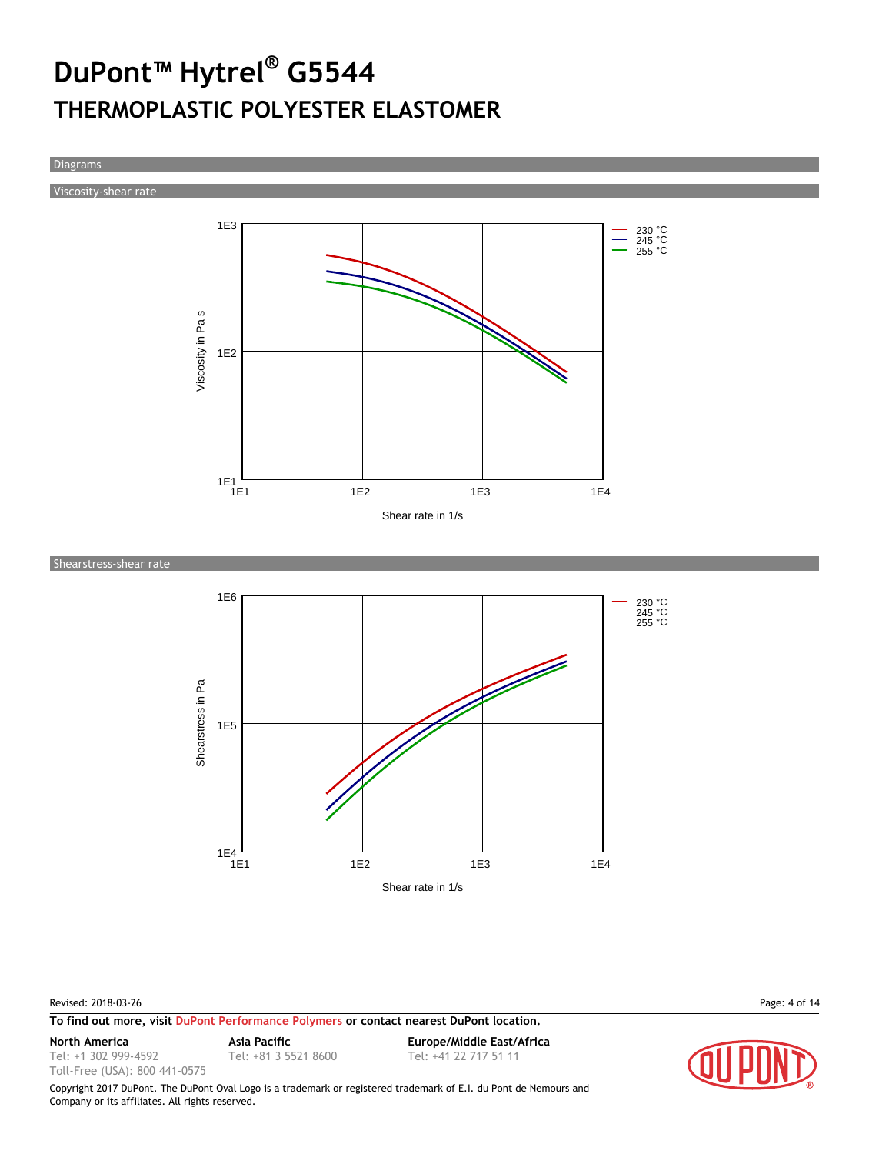Diagrams

Viscosity-shear rate



Shearstress-shear rate



Revised: 2018-03-26 Page: 4 of 14

**To find out more, visit [DuPont Performance Polymers](http://www.dupont.com/products-and-services/plastics-polymers-resins/thermoplastics.html) or contact nearest DuPont location.**

Tel: +1 302 999-4592

Toll-Free (USA): 800 441-0575

Tel: +81 3 5521 8600 Tel: +41 22 717 51 11

**North America Asia Pacific Europe/Middle East/Africa**

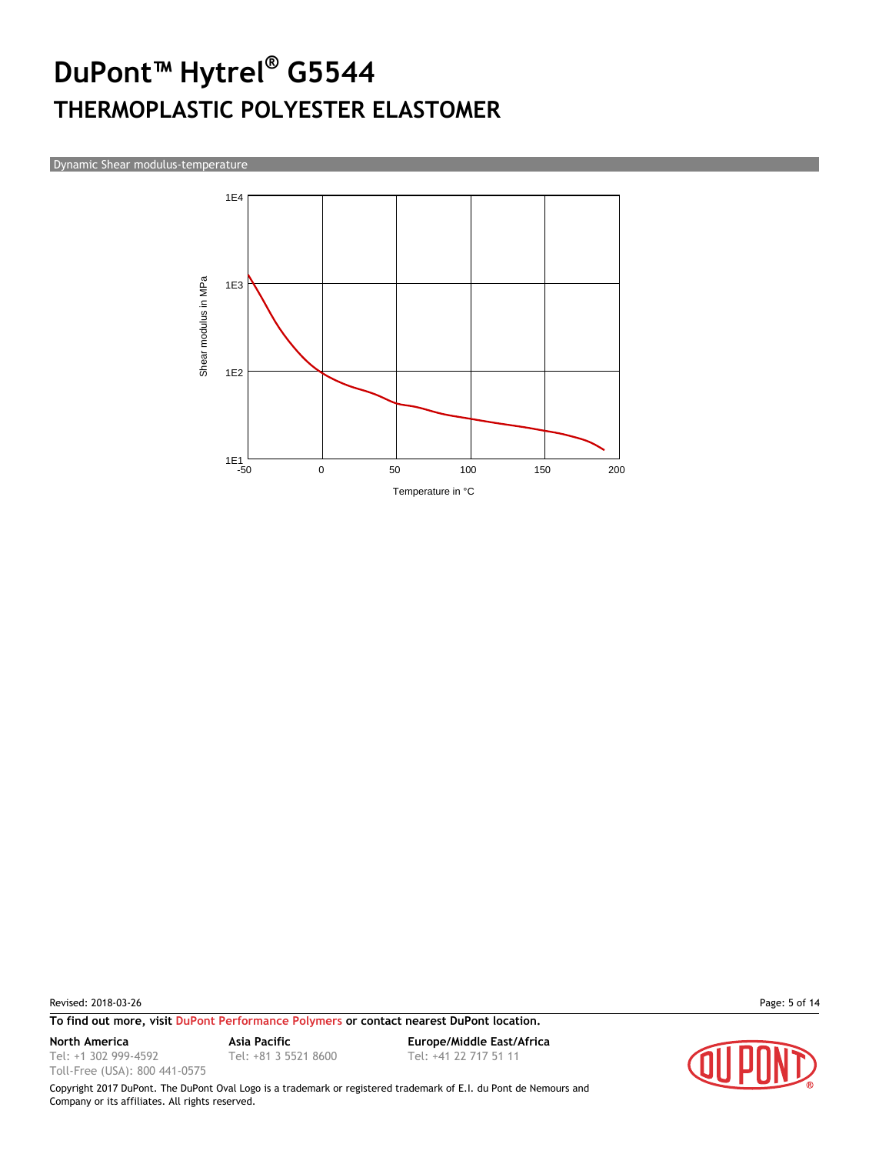Dynamic Shear modulus-temperature



Revised: 2018-03-26 Page: 5 of 14

**To find out more, visit [DuPont Performance Polymers](http://www.dupont.com/products-and-services/plastics-polymers-resins/thermoplastics.html) or contact nearest DuPont location.**

Tel: +1 302 999-4592

Toll-Free (USA): 800 441-0575

**North America Asia Pacific Europe/Middle East/Africa** Tel: +81 3 5521 8600 Tel: +41 22 717 51 11

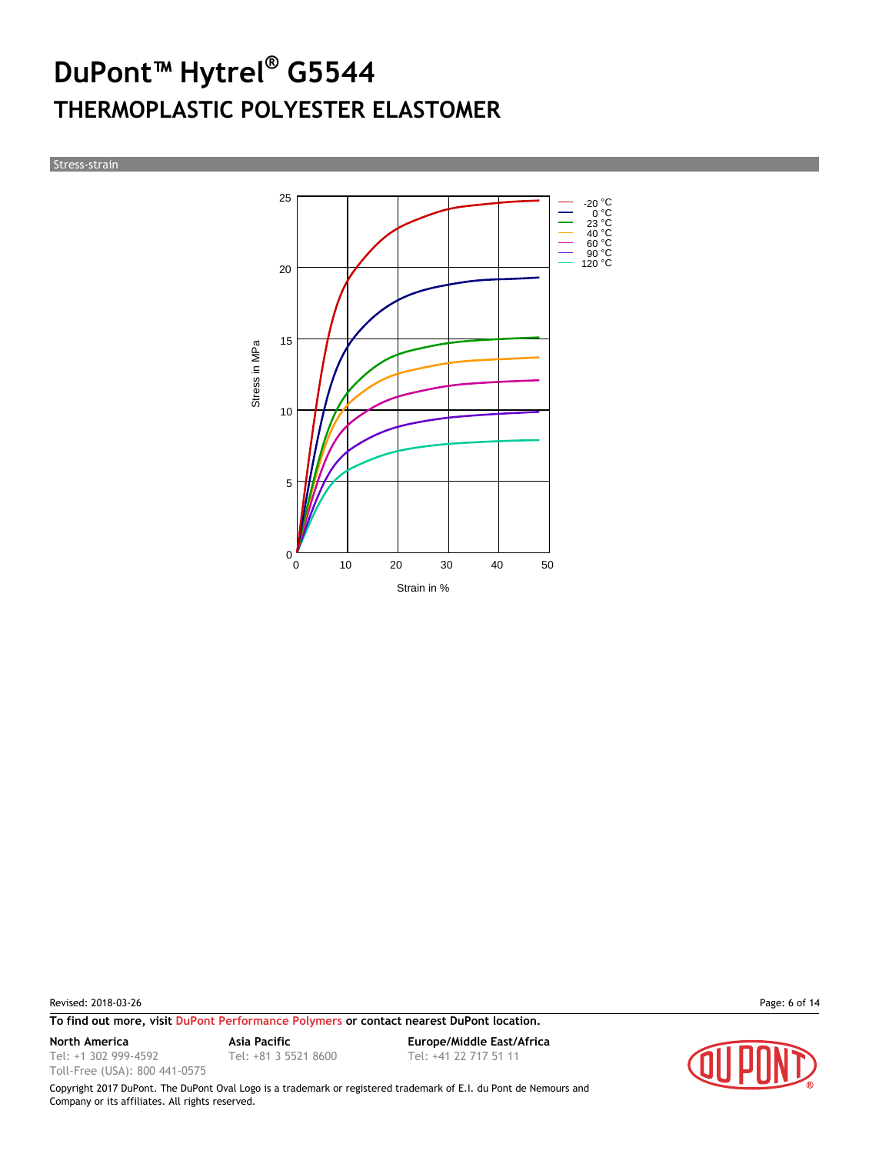Stress-strain



Revised: 2018-03-26 Page: 6 of 14

**To find out more, visit [DuPont Performance Polymers](http://www.dupont.com/products-and-services/plastics-polymers-resins/thermoplastics.html) or contact nearest DuPont location.**

Tel: +1 302 999-4592

Toll-Free (USA): 800 441-0575

**North America Asia Pacific Europe/Middle East/Africa** Tel: +81 3 5521 8600 Tel: +41 22 717 51 11

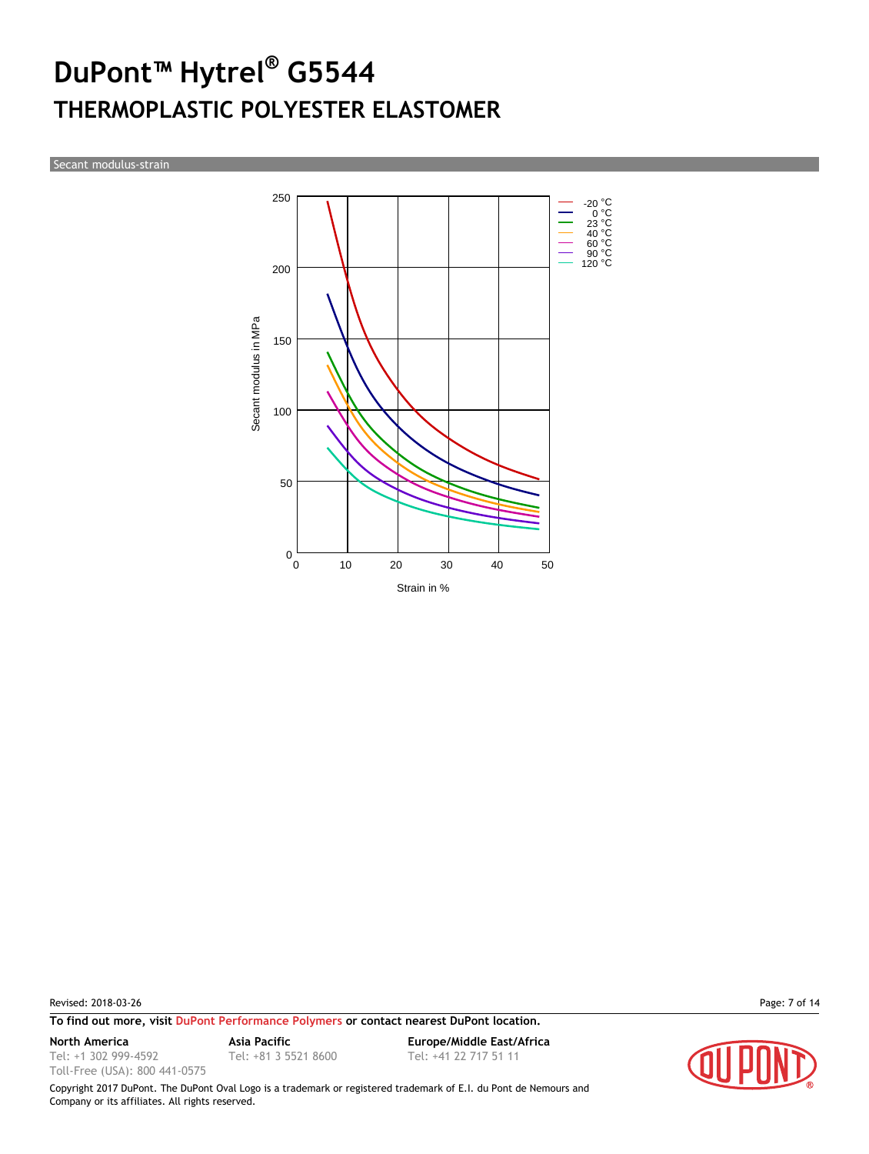Secant modulus-strain



Revised: 2018-03-26 Page: 7 of 14

**To find out more, visit [DuPont Performance Polymers](http://www.dupont.com/products-and-services/plastics-polymers-resins/thermoplastics.html) or contact nearest DuPont location.**

Tel: +1 302 999-4592 Toll-Free (USA): 800 441-0575

Tel: +81 3 5521 8600 Tel: +41 22 717 51 11

**North America Asia Pacific Europe/Middle East/Africa**

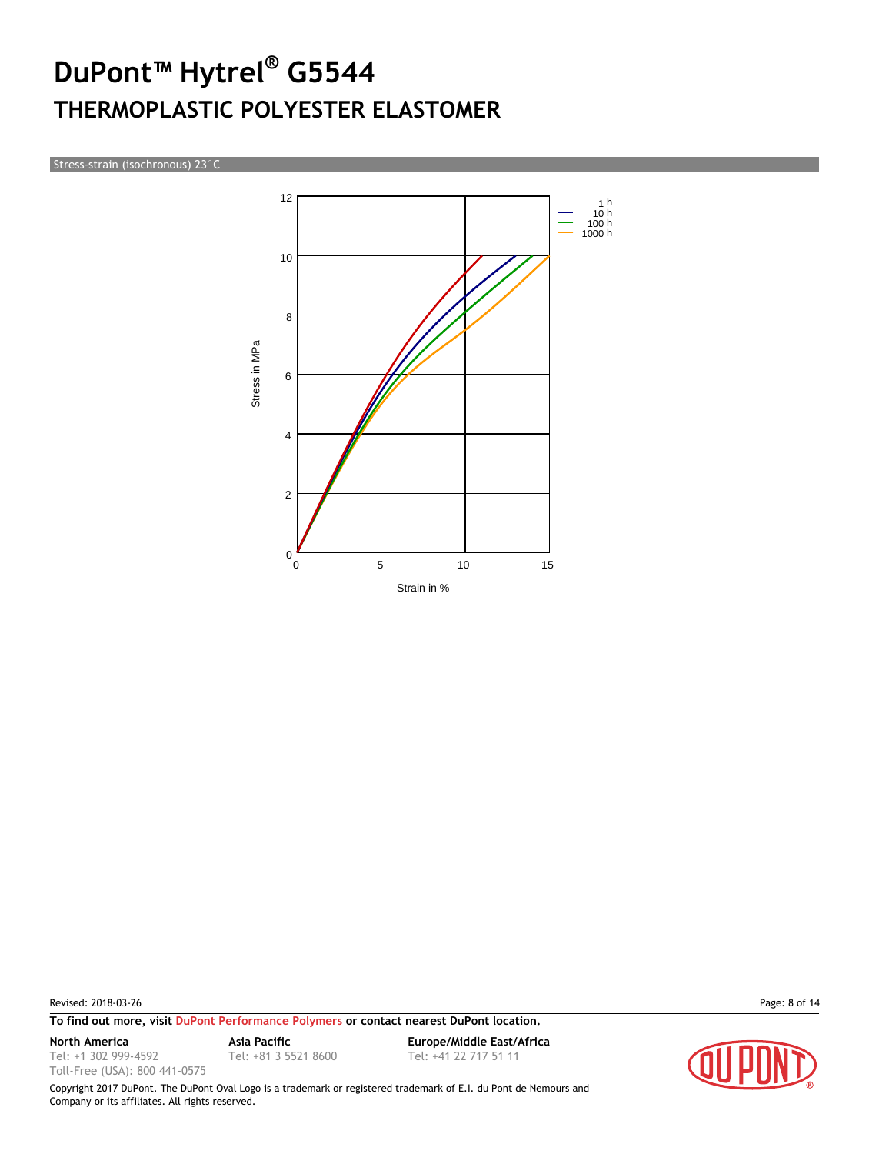Stress-strain (isochronous) 23°C



Revised: 2018-03-26 Page: 8 of 14

**To find out more, visit [DuPont Performance Polymers](http://www.dupont.com/products-and-services/plastics-polymers-resins/thermoplastics.html) or contact nearest DuPont location.**

Tel: +1 302 999-4592

Toll-Free (USA): 800 441-0575

**North America Asia Pacific Europe/Middle East/Africa** Tel: +81 3 5521 8600 Tel: +41 22 717 51 11

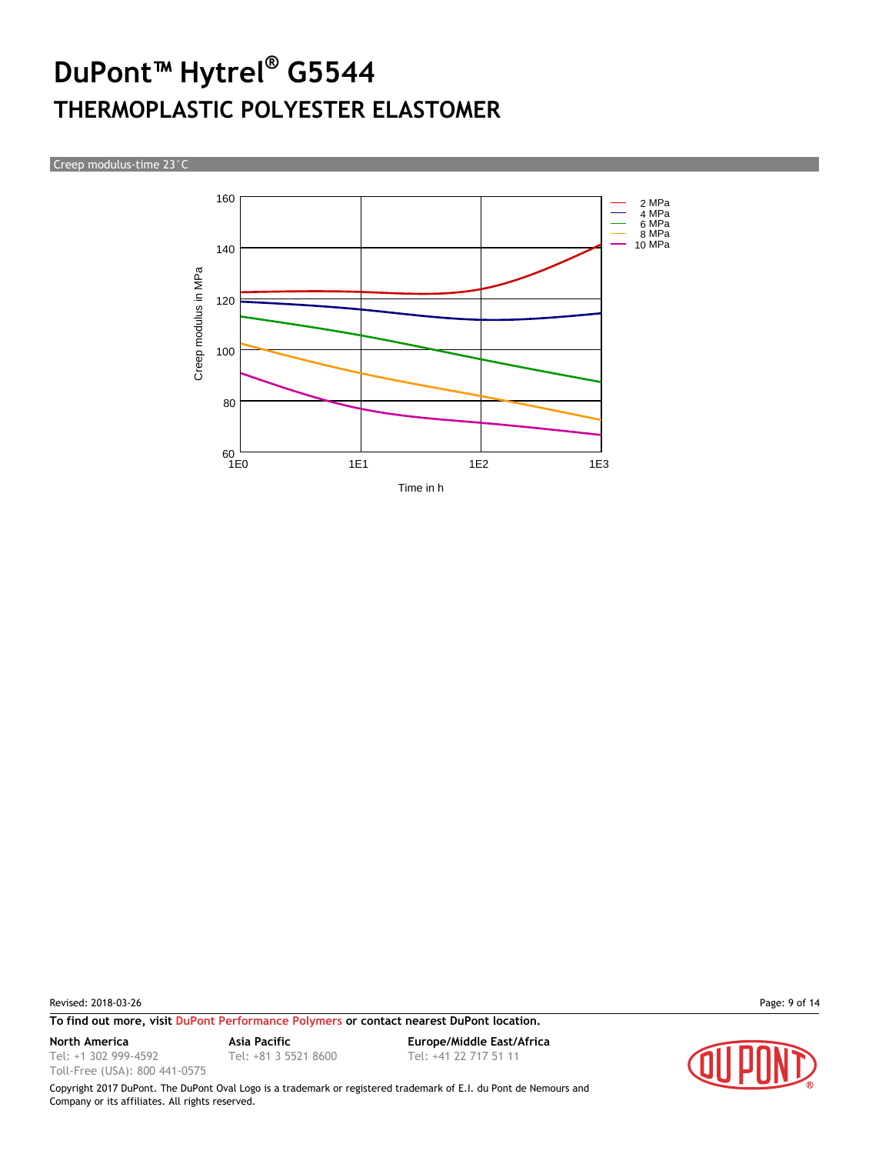Creep modulus-time 23°C



Revised: 2018-03-26 Page: 9 of 14

**To find out more, visit [DuPont Performance Polymers](http://www.dupont.com/products-and-services/plastics-polymers-resins/thermoplastics.html) or contact nearest DuPont location.**

Tel: +1 302 999-4592

Toll-Free (USA): 800 441-0575

**North America Asia Pacific Europe/Middle East/Africa** Tel: +81 3 5521 8600 Tel: +41 22 717 51 11

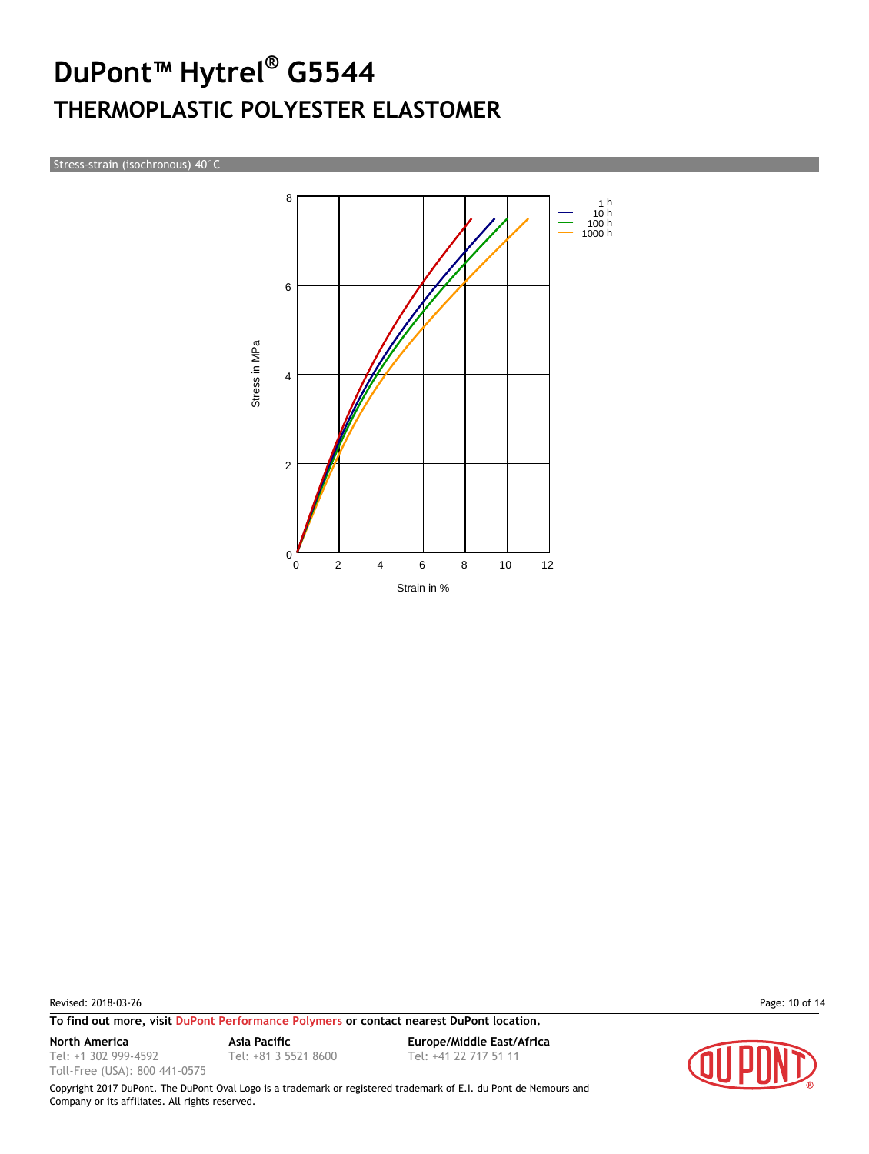Stress-strain (isochronous) 40°C



Revised: 2018-03-26 Page: 10 of 14

Tel: +1 302 999-4592 Toll-Free (USA): 800 441-0575

**To find out more, visit [DuPont Performance Polymers](http://www.dupont.com/products-and-services/plastics-polymers-resins/thermoplastics.html) or contact nearest DuPont location.**

Tel: +81 3 5521 8600 Tel: +41 22 717 51 11

**North America Asia Pacific Europe/Middle East/Africa**

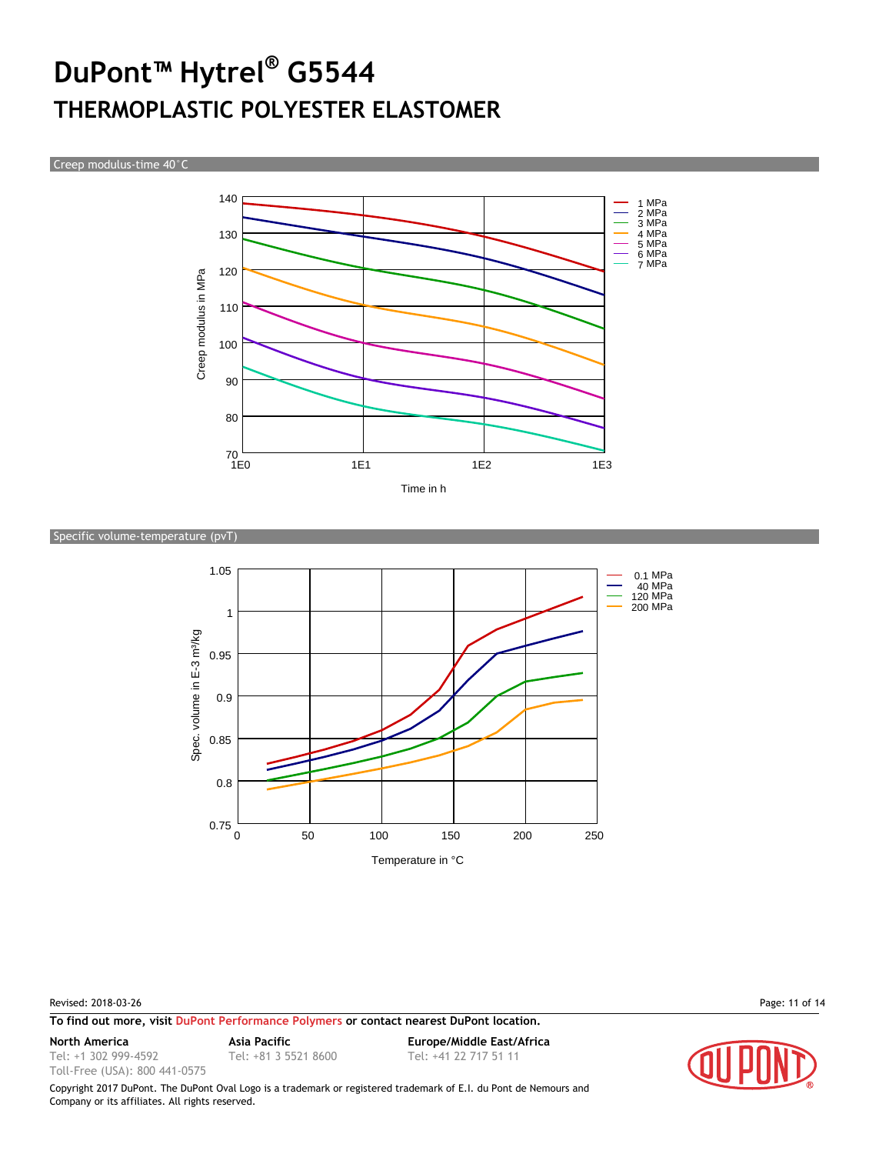Creep modulus-time 40°C



#### Specific volume-temperature (pvT)



Revised: 2018-03-26 Page: 11 of 14

**To find out more, visit [DuPont Performance Polymers](http://www.dupont.com/products-and-services/plastics-polymers-resins/thermoplastics.html) or contact nearest DuPont location.**

Tel: +1 302 999-4592

Toll-Free (USA): 800 441-0575

Tel: +81 3 5521 8600 Tel: +41 22 717 51 11

**North America Asia Pacific Europe/Middle East/Africa**

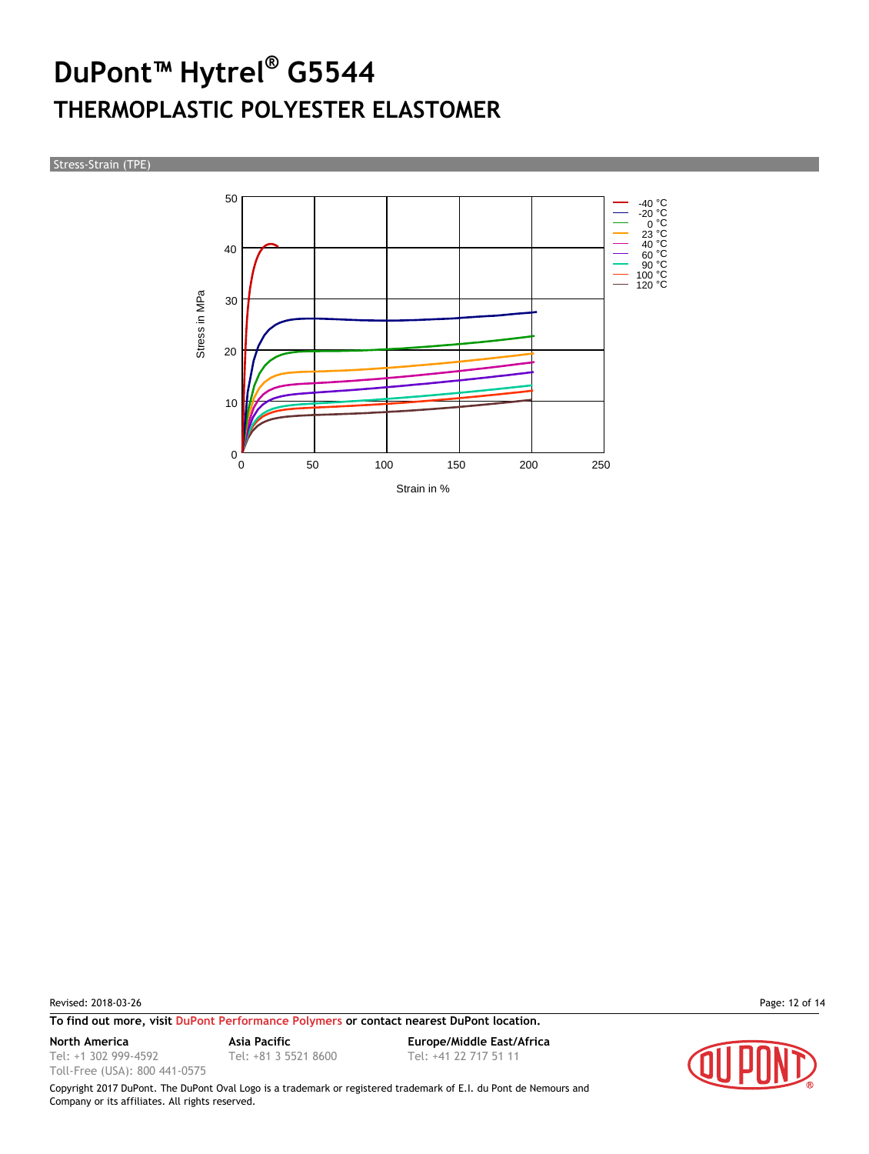#### Stress-Strain (TPE)



Revised: 2018-03-26 Page: 12 of 14

**To find out more, visit [DuPont Performance Polymers](http://www.dupont.com/products-and-services/plastics-polymers-resins/thermoplastics.html) or contact nearest DuPont location.**

Tel: +1 302 999-4592

Toll-Free (USA): 800 441-0575

**North America Asia Pacific Europe/Middle East/Africa** Tel: +81 3 5521 8600 Tel: +41 22 717 51 11

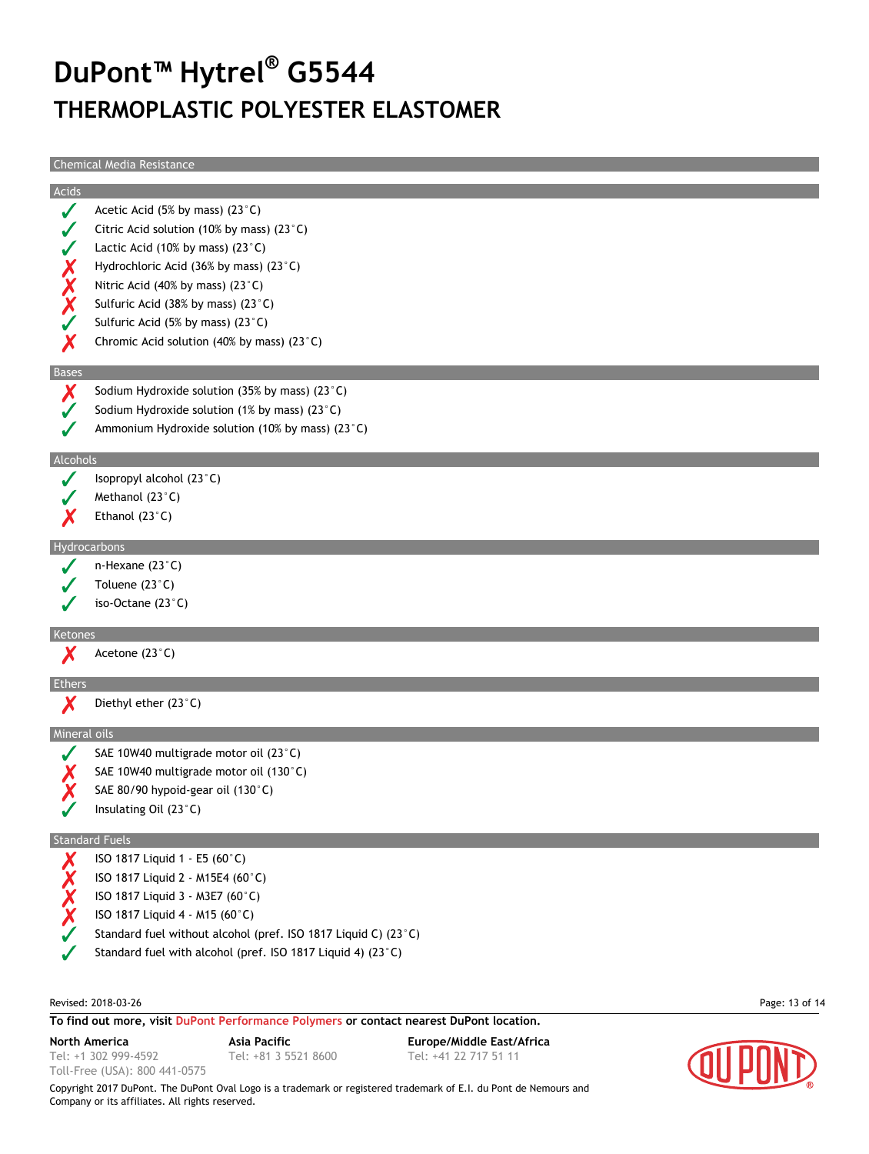|                  | <b>Chemical Media Resistance</b>          |                                                                                         |                           |                |
|------------------|-------------------------------------------|-----------------------------------------------------------------------------------------|---------------------------|----------------|
| Acids            |                                           |                                                                                         |                           |                |
| J                | Acetic Acid (5% by mass) (23°C)           |                                                                                         |                           |                |
|                  |                                           | Citric Acid solution (10% by mass) (23 $^{\circ}$ C)                                    |                           |                |
|                  | Lactic Acid (10% by mass) $(23^{\circ}C)$ |                                                                                         |                           |                |
|                  | Hydrochloric Acid (36% by mass) (23°C)    |                                                                                         |                           |                |
| XXX              | Nitric Acid (40% by mass) (23°C)          |                                                                                         |                           |                |
|                  | Sulfuric Acid (38% by mass) (23°C)        |                                                                                         |                           |                |
|                  | Sulfuric Acid (5% by mass) (23°C)         |                                                                                         |                           |                |
| $\boldsymbol{X}$ |                                           | Chromic Acid solution (40% by mass) (23 $^{\circ}$ C)                                   |                           |                |
| Bases            |                                           |                                                                                         |                           |                |
| Χ                |                                           | Sodium Hydroxide solution (35% by mass) (23 $^{\circ}$ C)                               |                           |                |
|                  |                                           | Sodium Hydroxide solution (1% by mass) (23 $^{\circ}$ C)                                |                           |                |
|                  |                                           | Ammonium Hydroxide solution (10% by mass) (23°C)                                        |                           |                |
| Alcohols         |                                           |                                                                                         |                           |                |
| J                | Isopropyl alcohol (23°C)                  |                                                                                         |                           |                |
|                  | Methanol (23°C)                           |                                                                                         |                           |                |
|                  | Ethanol $(23^{\circ}C)$                   |                                                                                         |                           |                |
|                  | Hydrocarbons                              |                                                                                         |                           |                |
|                  | n-Hexane $(23^{\circ}C)$                  |                                                                                         |                           |                |
|                  | Toluene (23°C)                            |                                                                                         |                           |                |
|                  | iso-Octane $(23^{\circ}C)$                |                                                                                         |                           |                |
| Ketones          |                                           |                                                                                         |                           |                |
| Х                | Acetone (23°C)                            |                                                                                         |                           |                |
| Ethers           |                                           |                                                                                         |                           |                |
| X                | Diethyl ether (23°C)                      |                                                                                         |                           |                |
| Mineral oils     |                                           |                                                                                         |                           |                |
|                  | SAE 10W40 multigrade motor oil (23°C)     |                                                                                         |                           |                |
|                  |                                           | SAE 10W40 multigrade motor oil (130°C)                                                  |                           |                |
|                  | SAE 80/90 hypoid-gear oil (130°C)         |                                                                                         |                           |                |
|                  | Insulating Oil $(23^{\circ}C)$            |                                                                                         |                           |                |
|                  | <b>Standard Fuels</b>                     |                                                                                         |                           |                |
| Х                | ISO 1817 Liquid 1 - E5 (60°C)             |                                                                                         |                           |                |
|                  | ISO 1817 Liquid 2 - M15E4 (60°C)          |                                                                                         |                           |                |
| XXX              | ISO 1817 Liquid 3 - M3E7 (60°C)           |                                                                                         |                           |                |
|                  | ISO 1817 Liquid 4 - M15 (60°C)            |                                                                                         |                           |                |
|                  |                                           | Standard fuel without alcohol (pref. ISO 1817 Liquid C) (23°C)                          |                           |                |
|                  |                                           | Standard fuel with alcohol (pref. ISO 1817 Liquid 4) (23°C)                             |                           |                |
|                  |                                           |                                                                                         |                           |                |
|                  | Revised: 2018-03-26                       | To find out more, visit DuPont Performance Polymers or contact nearest DuPont location. |                           | Page: 13 of 14 |
|                  | North America                             | Asia Pacific                                                                            | Europe/Middle East/Africa |                |
|                  | Tel: +1 302 999-4592                      | Tel: +81 3 5521 8600                                                                    | Tel: +41 22 717 51 11     |                |
|                  | Toll-Free (USA): 800 441-0575             |                                                                                         |                           |                |